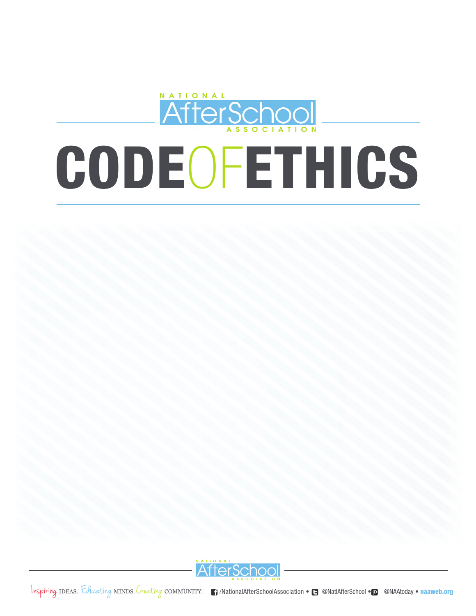

# CODEOFETHICS

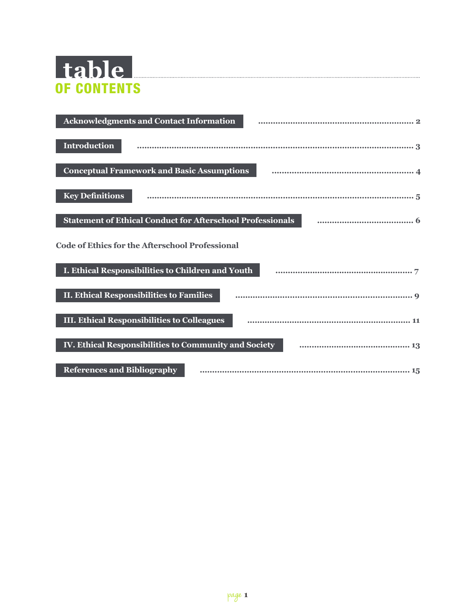

| <b>Acknowledgments and Contact Information</b>                    |
|-------------------------------------------------------------------|
| Introduction                                                      |
| <b>Conceptual Framework and Basic Assumptions</b>                 |
| <b>Key Definitions</b>                                            |
| <b>Statement of Ethical Conduct for Afterschool Professionals</b> |
| <b>Code of Ethics for the Afterschool Professional</b>            |
| I. Ethical Responsibilities to Children and Youth                 |
| <b>II. Ethical Responsibilities to Families</b>                   |
| <b>III. Ethical Responsibilities to Colleagues</b>                |
| IV. Ethical Responsibilities to Community and Society             |
| <b>References and Bibliography</b>                                |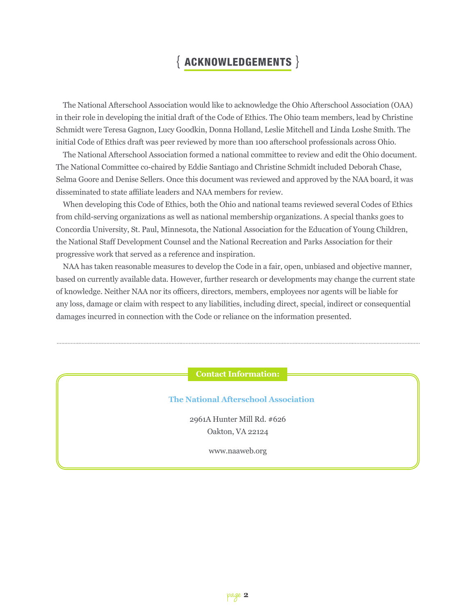#### $\{$  ACKNOWLEDGEMENTS  $\}$

The National Afterschool Association would like to acknowledge the Ohio Afterschool Association (OAA) in their role in developing the initial draft of the Code of Ethics. The Ohio team members, lead by Christine Schmidt were Teresa Gagnon, Lucy Goodkin, Donna Holland, Leslie Mitchell and Linda Loshe Smith. The initial Code of Ethics draft was peer reviewed by more than 100 afterschool professionals across Ohio.

The National Afterschool Association formed a national committee to review and edit the Ohio document. The National Committee co-chaired by Eddie Santiago and Christine Schmidt included Deborah Chase, Selma Goore and Denise Sellers. Once this document was reviewed and approved by the NAA board, it was disseminated to state affiliate leaders and NAA members for review.

When developing this Code of Ethics, both the Ohio and national teams reviewed several Codes of Ethics from child-serving organizations as well as national membership organizations. A special thanks goes to Concordia University, St. Paul, Minnesota, the National Association for the Education of Young Children, the National Staff Development Counsel and the National Recreation and Parks Association for their progressive work that served as a reference and inspiration.

NAA has taken reasonable measures to develop the Code in a fair, open, unbiased and objective manner, based on currently available data. However, further research or developments may change the current state of knowledge. Neither NAA nor its officers, directors, members, employees nor agents will be liable for any loss, damage or claim with respect to any liabilities, including direct, special, indirect or consequential damages incurred in connection with the Code or reliance on the information presented.

#### **Contact Information:**

#### **The National Afterschool Association**

2961A Hunter Mill Rd. #626 Oakton, VA 22124

www.naaweb.org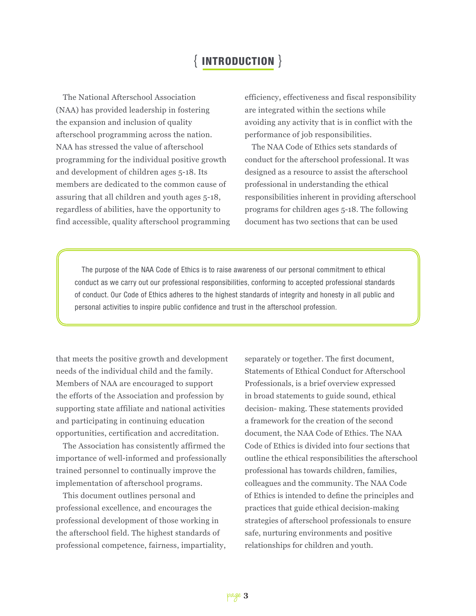#### $\{$  INTRODUCTION  $\}$

The National Afterschool Association (NAA) has provided leadership in fostering the expansion and inclusion of quality afterschool programming across the nation. NAA has stressed the value of afterschool programming for the individual positive growth and development of children ages 5-18. Its members are dedicated to the common cause of assuring that all children and youth ages 5-18, regardless of abilities, have the opportunity to find accessible, quality afterschool programming efficiency, effectiveness and fiscal responsibility are integrated within the sections while avoiding any activity that is in conflict with the performance of job responsibilities.

The NAA Code of Ethics sets standards of conduct for the afterschool professional. It was designed as a resource to assist the afterschool professional in understanding the ethical responsibilities inherent in providing afterschool programs for children ages 5-18. The following document has two sections that can be used

The purpose of the NAA Code of Ethics is to raise awareness of our personal commitment to ethical conduct as we carry out our professional responsibilities, conforming to accepted professional standards of conduct. Our Code of Ethics adheres to the highest standards of integrity and honesty in all public and personal activities to inspire public confidence and trust in the afterschool profession.

that meets the positive growth and development needs of the individual child and the family. Members of NAA are encouraged to support the efforts of the Association and profession by supporting state affiliate and national activities and participating in continuing education opportunities, certification and accreditation.

The Association has consistently affirmed the importance of well-informed and professionally trained personnel to continually improve the implementation of afterschool programs.

This document outlines personal and professional excellence, and encourages the professional development of those working in the afterschool field. The highest standards of professional competence, fairness, impartiality, separately or together. The first document, Statements of Ethical Conduct for Afterschool Professionals, is a brief overview expressed in broad statements to guide sound, ethical decision- making. These statements provided a framework for the creation of the second document, the NAA Code of Ethics. The NAA Code of Ethics is divided into four sections that outline the ethical responsibilities the afterschool professional has towards children, families, colleagues and the community. The NAA Code of Ethics is intended to define the principles and practices that guide ethical decision-making strategies of afterschool professionals to ensure safe, nurturing environments and positive relationships for children and youth.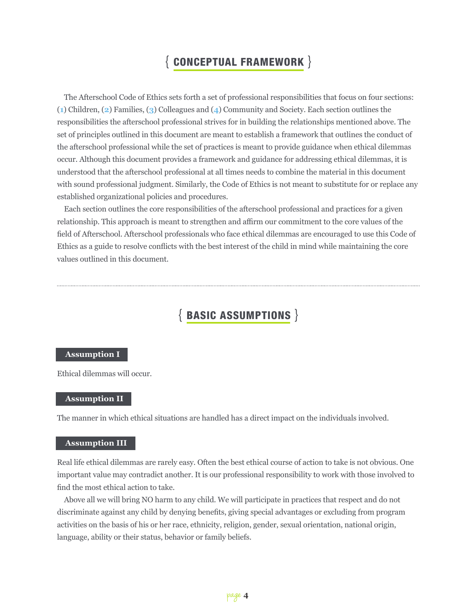#### { CONCEPTUAL FRAMEWORK }

The Afterschool Code of Ethics sets forth a set of professional responsibilities that focus on four sections: (**1**) Children, (**2**) Families, (**3**) Colleagues and (**4**) Community and Society. Each section outlines the responsibilities the afterschool professional strives for in building the relationships mentioned above. The set of principles outlined in this document are meant to establish a framework that outlines the conduct of the afterschool professional while the set of practices is meant to provide guidance when ethical dilemmas occur. Although this document provides a framework and guidance for addressing ethical dilemmas, it is understood that the afterschool professional at all times needs to combine the material in this document with sound professional judgment. Similarly, the Code of Ethics is not meant to substitute for or replace any established organizational policies and procedures.

Each section outlines the core responsibilities of the afterschool professional and practices for a given relationship. This approach is meant to strengthen and affirm our commitment to the core values of the field of Afterschool. Afterschool professionals who face ethical dilemmas are encouraged to use this Code of Ethics as a guide to resolve conflicts with the best interest of the child in mind while maintaining the core values outlined in this document.

#### { BASIC ASSUMPTIONS }

#### **Assumption I**

Ethical dilemmas will occur.

#### **Assumption II**

The manner in which ethical situations are handled has a direct impact on the individuals involved.

#### **Assumption III**

Real life ethical dilemmas are rarely easy. Often the best ethical course of action to take is not obvious. One important value may contradict another. It is our professional responsibility to work with those involved to find the most ethical action to take.

Above all we will bring NO harm to any child. We will participate in practices that respect and do not discriminate against any child by denying benefits, giving special advantages or excluding from program activities on the basis of his or her race, ethnicity, religion, gender, sexual orientation, national origin, language, ability or their status, behavior or family beliefs.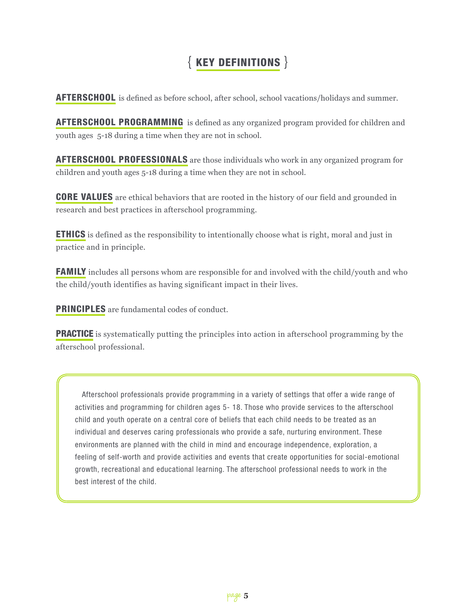# $\{$  KEY DEFINITIONS  $\}$

**AFTERSCHOOL** is defined as before school, after school, school vacations/holidays and summer.

AFTERSCHOOL PROGRAMMINGis defined as any organized program provided for children and youth ages 5-18 during a time when they are not in school.

AFTERSCHOOL PROFESSIONALS are those individuals who work in any organized program for children and youth ages 5-18 during a time when they are not in school.

CORE VALUES are ethical behaviors that are rooted in the history of our field and grounded in research and best practices in afterschool programming.

**ETHICS** is defined as the responsibility to intentionally choose what is right, moral and just in practice and in principle.

**FAMILY** includes all persons whom are responsible for and involved with the child/youth and who the child/youth identifies as having significant impact in their lives.

PRINCIPLES are fundamental codes of conduct.

**PRACTICE** is systematically putting the principles into action in afterschool programming by the afterschool professional.

Afterschool professionals provide programming in a variety of settings that offer a wide range of activities and programming for children ages 5- 18. Those who provide services to the afterschool child and youth operate on a central core of beliefs that each child needs to be treated as an individual and deserves caring professionals who provide a safe, nurturing environment. These environments are planned with the child in mind and encourage independence, exploration, a feeling of self-worth and provide activities and events that create opportunities for social-emotional growth, recreational and educational learning. The afterschool professional needs to work in the best interest of the child.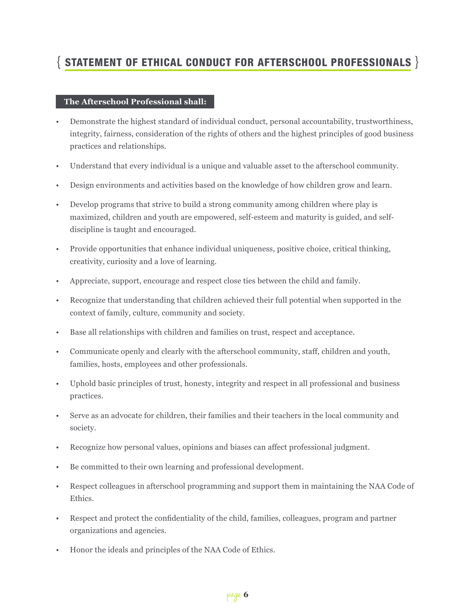## $\{$  statement of ethical conduct for afterschool professionals  $\}$

#### **The Afterschool Professional shall:**

- Demonstrate the highest standard of individual conduct, personal accountability, trustworthiness, integrity, fairness, consideration of the rights of others and the highest principles of good business practices and relationships.
- Understand that every individual is a unique and valuable asset to the afterschool community.
- Design environments and activities based on the knowledge of how children grow and learn.
- Develop programs that strive to build a strong community among children where play is maximized, children and youth are empowered, self-esteem and maturity is guided, and selfdiscipline is taught and encouraged.
- Provide opportunities that enhance individual uniqueness, positive choice, critical thinking, creativity, curiosity and a love of learning.
- Appreciate, support, encourage and respect close ties between the child and family.
- Recognize that understanding that children achieved their full potential when supported in the context of family, culture, community and society.
- Base all relationships with children and families on trust, respect and acceptance.
- Communicate openly and clearly with the afterschool community, staff, children and youth, families, hosts, employees and other professionals.
- Uphold basic principles of trust, honesty, integrity and respect in all professional and business practices.
- Serve as an advocate for children, their families and their teachers in the local community and society.
- Recognize how personal values, opinions and biases can affect professional judgment.
- Be committed to their own learning and professional development.
- Respect colleagues in afterschool programming and support them in maintaining the NAA Code of Ethics.
- Respect and protect the confidentiality of the child, families, colleagues, program and partner organizations and agencies.
- Honor the ideals and principles of the NAA Code of Ethics.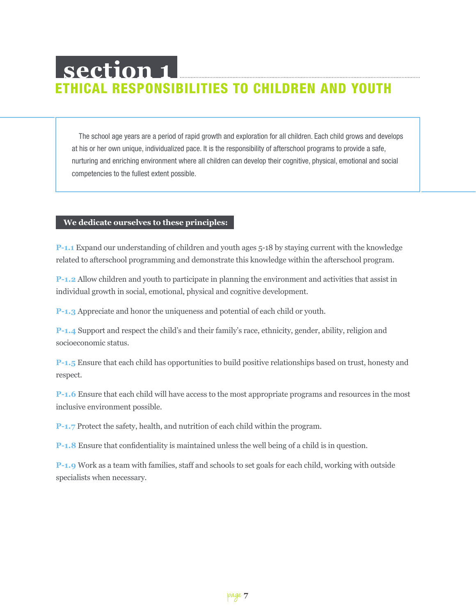# **section 1** ETHICAL RESPONSIBILITIES TO CHILDREN AND YOUTH

The school age years are a period of rapid growth and exploration for all children. Each child grows and develops at his or her own unique, individualized pace. It is the responsibility of afterschool programs to provide a safe, nurturing and enriching environment where all children can develop their cognitive, physical, emotional and social competencies to the fullest extent possible.

#### **We dedicate ourselves to these principles:**

**P-1.1** Expand our understanding of children and youth ages 5-18 by staying current with the knowledge related to afterschool programming and demonstrate this knowledge within the afterschool program.

**P-1.2** Allow children and youth to participate in planning the environment and activities that assist in individual growth in social, emotional, physical and cognitive development.

**P-1.3** Appreciate and honor the uniqueness and potential of each child or youth.

**P-1.4** Support and respect the child's and their family's race, ethnicity, gender, ability, religion and socioeconomic status.

**P-1.5** Ensure that each child has opportunities to build positive relationships based on trust, honesty and respect.

**P-1.6** Ensure that each child will have access to the most appropriate programs and resources in the most inclusive environment possible.

**P-1.7** Protect the safety, health, and nutrition of each child within the program.

**P-1.8** Ensure that confidentiality is maintained unless the well being of a child is in question.

**P-1.9** Work as a team with families, staff and schools to set goals for each child, working with outside specialists when necessary.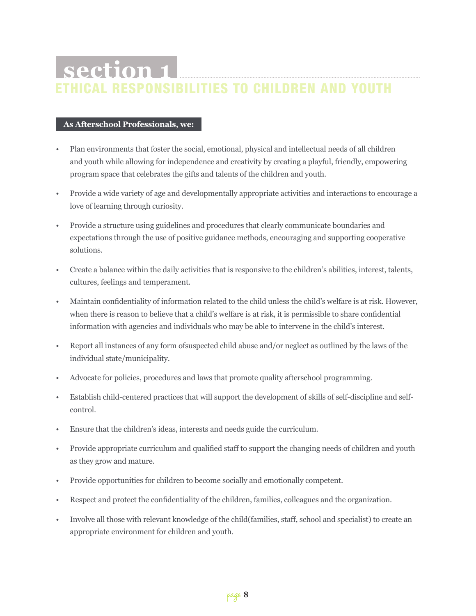# **section 1** ETHICAL RESPONSIBILITIES TO CHILDREN AND YOUTH

#### **As Afterschool Professionals, we:**

- Plan environments that foster the social, emotional, physical and intellectual needs of all children and youth while allowing for independence and creativity by creating a playful, friendly, empowering program space that celebrates the gifts and talents of the children and youth.
- Provide a wide variety of age and developmentally appropriate activities and interactions to encourage a love of learning through curiosity.
- Provide a structure using guidelines and procedures that clearly communicate boundaries and expectations through the use of positive guidance methods, encouraging and supporting cooperative solutions.
- Create a balance within the daily activities that is responsive to the children's abilities, interest, talents, cultures, feelings and temperament.
- Maintain confidentiality of information related to the child unless the child's welfare is at risk. However, when there is reason to believe that a child's welfare is at risk, it is permissible to share confidential information with agencies and individuals who may be able to intervene in the child's interest.
- Report all instances of any form ofsuspected child abuse and/or neglect as outlined by the laws of the individual state/municipality.
- Advocate for policies, procedures and laws that promote quality afterschool programming.
- Establish child-centered practices that will support the development of skills of self-discipline and selfcontrol.
- Ensure that the children's ideas, interests and needs guide the curriculum.
- Provide appropriate curriculum and qualified staff to support the changing needs of children and youth as they grow and mature.
- Provide opportunities for children to become socially and emotionally competent.
- Respect and protect the confidentiality of the children, families, colleagues and the organization.
- Involve all those with relevant knowledge of the child(families, staff , school and specialist) to create an appropriate environment for children and youth.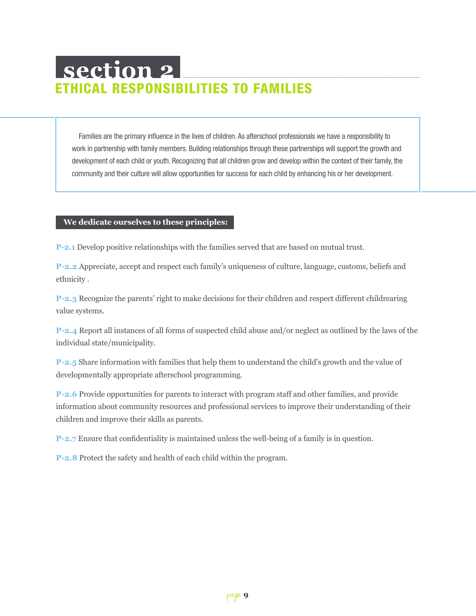# **section 2** ETHICAL RESPONSIBILITIES TO FAMILIES

Families are the primary influence in the lives of children. As afterschool professionals we have a responsibility to work in partnership with family members. Building relationships through these partnerships will support the growth and development of each child or youth. Recognizing that all children grow and develop within the context of their family, the community and their culture will allow opportunities for success for each child by enhancing his or her development.

#### **We dedicate ourselves to these principles:**

**P-2.1** Develop positive relationships with the families served that are based on mutual trust.

**P-2.2** Appreciate, accept and respect each family's uniqueness of culture, language, customs, beliefs and ethnicity .

**P-2.3** Recognize the parents' right to make decisions for their children and respect different childrearing value systems.

**P-2.4** Report all instances of all forms of suspected child abuse and/or neglect as outlined by the laws of the individual state/municipality.

**P-2.5** Share information with families that help them to understand the child's growth and the value of developmentally appropriate afterschool programming.

**P-2.6** Provide opportunities for parents to interact with program staff and other families, and provide information about community resources and professional services to improve their understanding of their children and improve their skills as parents.

**P-2.7** Ensure that confidentiality is maintained unless the well-being of a family is in question.

**P-2.8** Protect the safety and health of each child within the program.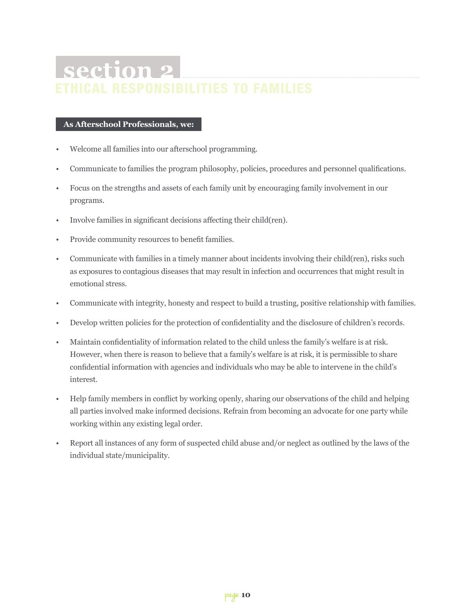# **section 2**

#### **As Afterschool Professionals, we:**

- Welcome all families into our afterschool programming.
- Communicate to families the program philosophy, policies, procedures and personnel qualifications.
- Focus on the strengths and assets of each family unit by encouraging family involvement in our programs.
- Involve families in significant decisions affecting their child(ren).
- Provide community resources to benefit families.
- Communicate with families in a timely manner about incidents involving their child(ren), risks such as exposures to contagious diseases that may result in infection and occurrences that might result in emotional stress.
- Communicate with integrity, honesty and respect to build a trusting, positive relationship with families.
- Develop written policies for the protection of confidentiality and the disclosure of children's records.
- Maintain confidentiality of information related to the child unless the family's welfare is at risk. However, when there is reason to believe that a family's welfare is at risk, it is permissible to share confidential information with agencies and individuals who may be able to intervene in the child's interest.
- Help family members in conflict by working openly, sharing our observations of the child and helping all parties involved make informed decisions. Refrain from becoming an advocate for one party while working within any existing legal order.
- Report all instances of any form of suspected child abuse and/or neglect as outlined by the laws of the individual state/municipality.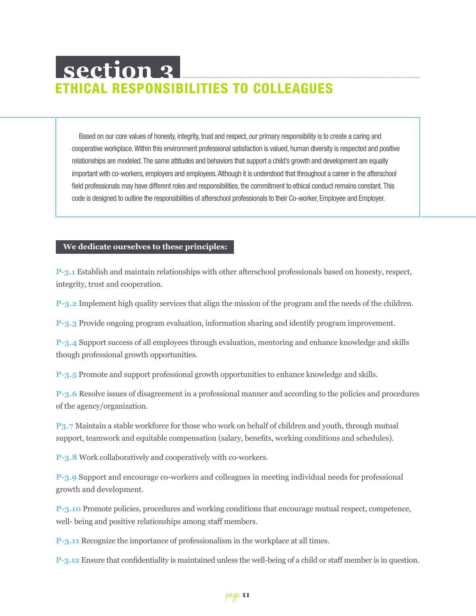# **section 3** ETHICAL RESPONSIBILITIES TO COLLEAGUES

Based on our core values of honesty, integrity, trust and respect, our primary responsibility is to create a caring and cooperative workplace. Within this environment professional satisfaction is valued, human diversity is respected and positive relationships are modeled. The same attitudes and behaviors that support a child's growth and development are equally important with co-workers, employers and employees. Although it is understood that throughout a career in the afterschool field professionals may have different roles and responsibilities, the commitment to ethical conduct remains constant. This code is designed to outline the responsibilities of afterschool professionals to their Co-worker, Employee and Employer.

#### **We dedicate ourselves to these principles:**

**P-3.1** Establish and maintain relationships with other afterschool professionals based on honesty, respect, integrity, trust and cooperation.

**P-3.2** Implement high quality services that align the mission of the program and the needs of the children.

**P-3.3** Provide ongoing program evaluation, information sharing and identify program improvement.

**P-3.4** Support success of all employees through evaluation, mentoring and enhance knowledge and skills though professional growth opportunities.

**P-3.5** Promote and support professional growth opportunities to enhance knowledge and skills.

**P-3.6** Resolve issues of disagreement in a professional manner and according to the policies and procedures of the agency/organization.

**P3.7** Maintain a stable workforce for those who work on behalf of children and youth, through mutual support, teamwork and equitable compensation (salary, benefits, working conditions and schedules).

**P-3.8** Work collaboratively and cooperatively with co-workers.

**P-3.9** Support and encourage co-workers and colleagues in meeting individual needs for professional growth and development.

**P-3.10** Promote policies, procedures and working conditions that encourage mutual respect, competence, well- being and positive relationships among staff members.

**P-3.11** Recognize the importance of professionalism in the workplace at all times.

**P-3.12** Ensure that confidentiality is maintained unless the well-being of a child or staff member is in question.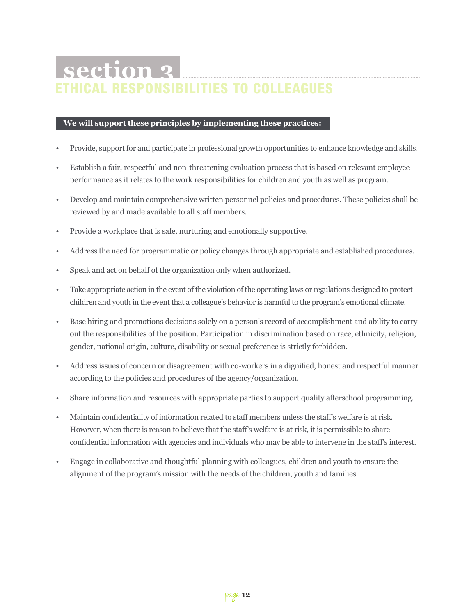# **section 3** ETHICAL RESPONSIBILITIES TO COLLEAGUES

#### **We will support these principles by implementing these practices:**

- Provide, support for and participate in professional growth opportunities to enhance knowledge and skills.
- Establish a fair, respectful and non-threatening evaluation process that is based on relevant employee performance as it relates to the work responsibilities for children and youth as well as program.
- Develop and maintain comprehensive written personnel policies and procedures. These policies shall be reviewed by and made available to all staff members.
- Provide a workplace that is safe, nurturing and emotionally supportive.
- Address the need for programmatic or policy changes through appropriate and established procedures.
- Speak and act on behalf of the organization only when authorized.
- Take appropriate action in the event of the violation of the operating laws or regulations designed to protect children and youth in the event that a colleague's behavior is harmful to the program's emotional climate.
- Base hiring and promotions decisions solely on a person's record of accomplishment and ability to carry out the responsibilities of the position. Participation in discrimination based on race, ethnicity, religion, gender, national origin, culture, disability or sexual preference is strictly forbidden.
- Address issues of concern or disagreement with co-workers in a dignified, honest and respectful manner according to the policies and procedures of the agency/organization.
- Share information and resources with appropriate parties to support quality afterschool programming.
- Maintain confidentiality of information related to staff members unless the staff's welfare is at risk. However, when there is reason to believe that the staff's welfare is at risk, it is permissible to share confidential information with agencies and individuals who may be able to intervene in the staff's interest.
- Engage in collaborative and thoughtful planning with colleagues, children and youth to ensure the alignment of the program's mission with the needs of the children, youth and families.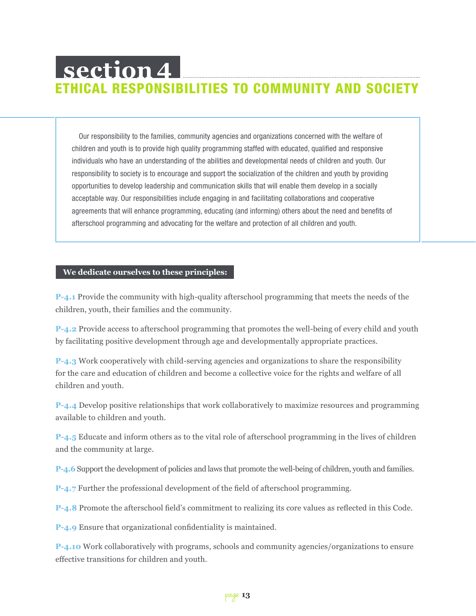# **section 4** ETHICAL RESPONSIBILITIES TO COMMUNITY AND SOCIETY

Our responsibility to the families, community agencies and organizations concerned with the welfare of children and youth is to provide high quality programming staffed with educated, qualified and responsive individuals who have an understanding of the abilities and developmental needs of children and youth. Our responsibility to society is to encourage and support the socialization of the children and youth by providing opportunities to develop leadership and communication skills that will enable them develop in a socially acceptable way. Our responsibilities include engaging in and facilitating collaborations and cooperative agreements that will enhance programming, educating (and informing) others about the need and benefits of afterschool programming and advocating for the welfare and protection of all children and youth.

#### **We dedicate ourselves to these principles:**

**P-4.1** Provide the community with high-quality afterschool programming that meets the needs of the children, youth, their families and the community.

**P-4.2** Provide access to afterschool programming that promotes the well-being of every child and youth by facilitating positive development through age and developmentally appropriate practices.

**P-4.3** Work cooperatively with child-serving agencies and organizations to share the responsibility for the care and education of children and become a collective voice for the rights and welfare of all children and youth.

**P-4.4** Develop positive relationships that work collaboratively to maximize resources and programming available to children and youth.

**P-4.5** Educate and inform others as to the vital role of afterschool programming in the lives of children and the community at large.

**P-4.6** Support the development of policies and laws that promote the well-being of children, youth and families.

**P-4.7** Further the professional development of the field of afterschool programming.

**P-4.8** Promote the afterschool field's commitment to realizing its core values as reflected in this Code.

**P-4.9** Ensure that organizational confidentiality is maintained.

**P-4.10** Work collaboratively with programs, schools and community agencies/organizations to ensure effective transitions for children and youth.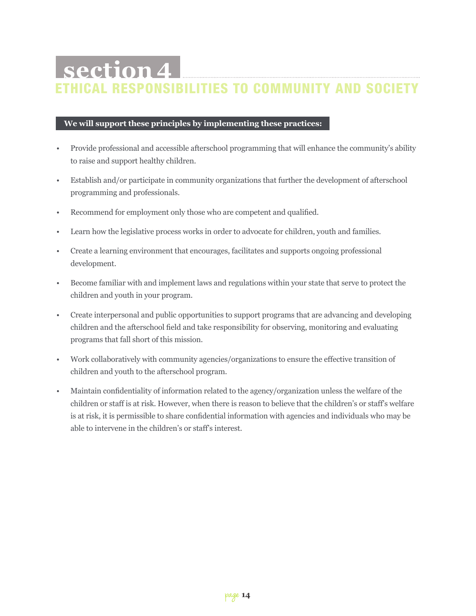# **section 4**ETHICAL RESPONSIBILITIES TO COMMUNITY AND SOCIETY

#### **We will support these principles by implementing these practices:**

- Provide professional and accessible afterschool programming that will enhance the community's ability to raise and support healthy children.
- Establish and/or participate in community organizations that further the development of afterschool programming and professionals.
- Recommend for employment only those who are competent and qualified.
- Learn how the legislative process works in order to advocate for children, youth and families.
- Create a learning environment that encourages, facilitates and supports ongoing professional development.
- Become familiar with and implement laws and regulations within your state that serve to protect the children and youth in your program.
- Create interpersonal and public opportunities to support programs that are advancing and developing children and the afterschool field and take responsibility for observing, monitoring and evaluating programs that fall short of this mission.
- Work collaboratively with community agencies/organizations to ensure the effective transition of children and youth to the afterschool program.
- Maintain confidentiality of information related to the agency/organization unless the welfare of the children or staff is at risk. However, when there is reason to believe that the children's or staff's welfare is at risk, it is permissible to share confidential information with agencies and individuals who may be able to intervene in the children's or staff's interest.